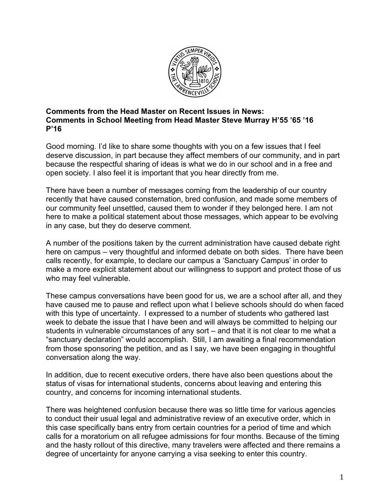

## **Comments from the Head Master on Recent Issues in News: Comments in School Meeting from Head Master Steve Murray H'55 '65 '16 P'16**

Good morning. I'd like to share some thoughts with you on a few issues that I feel deserve discussion, in part because they affect members of our community, and in part because the respectful sharing of ideas is what we do in our school and in a free and open society. I also feel it is important that you hear directly from me.

There have been a number of messages coming from the leadership of our country recently that have caused consternation, bred confusion, and made some members of our community feel unsettled, caused them to wonder if they belonged here. I am not here to make a political statement about those messages, which appear to be evolving in any case, but they do deserve comment.

A number of the positions taken by the current administration have caused debate right here on campus – very thoughtful and informed debate on both sides. There have been calls recently, for example, to declare our campus a 'Sanctuary Campus' in order to make a more explicit statement about our willingness to support and protect those of us who may feel vulnerable.

These campus conversations have been good for us, we are a school after all, and they have caused me to pause and reflect upon what I believe schools should do when faced with this type of uncertainty. I expressed to a number of students who gathered last week to debate the issue that I have been and will always be committed to helping our students in vulnerable circumstances of any sort – and that it is not clear to me what a "sanctuary declaration" would accomplish. Still, I am awaiting a final recommendation from those sponsoring the petition, and as I say, we have been engaging in thoughtful conversation along the way.

In addition, due to recent executive orders, there have also been questions about the status of visas for international students, concerns about leaving and entering this country, and concerns for incoming international students.

There was heightened confusion because there was so little time for various agencies to conduct their usual legal and administrative review of an executive order, which in this case specifically bans entry from certain countries for a period of time and which calls for a moratorium on all refugee admissions for four months. Because of the timing and the hasty rollout of this directive, many travelers were affected and there remains a degree of uncertainty for anyone carrying a visa seeking to enter this country.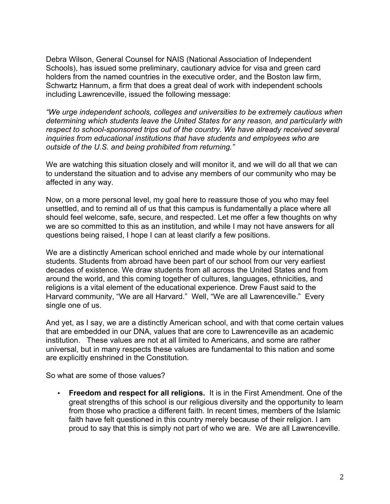Debra Wilson, General Counsel for NAIS (National Association of Independent Schools), has issued some preliminary, cautionary advice for visa and green card holders from the named countries in the executive order, and the Boston law firm, Schwartz Hannum, a firm that does a great deal of work with independent schools including Lawrenceville, issued the following message:

*"We urge independent schools, colleges and universities to be extremely cautious when determining which students leave the United States for any reason, and particularly with respect to school-sponsored trips out of the country. We have already received several inquiries from educational institutions that have students and employees who are outside of the U.S. and being prohibited from returning."*

We are watching this situation closely and will monitor it, and we will do all that we can to understand the situation and to advise any members of our community who may be affected in any way.

Now, on a more personal level, my goal here to reassure those of you who may feel unsettled, and to remind all of us that this campus is fundamentally a place where all should feel welcome, safe, secure, and respected. Let me offer a few thoughts on why we are so committed to this as an institution, and while I may not have answers for all questions being raised, I hope I can at least clarify a few positions.

We are a distinctly American school enriched and made whole by our international students. Students from abroad have been part of our school from our very earliest decades of existence. We draw students from all across the United States and from around the world, and this coming together of cultures, languages, ethnicities, and religions is a vital element of the educational experience. Drew Faust said to the Harvard community, "We are all Harvard." Well, "We are all Lawrenceville." Every single one of us.

And yet, as I say, we are a distinctly American school, and with that come certain values that are embedded in our DNA, values that are core to Lawrenceville as an academic institution. These values are not at all limited to Americans, and some are rather universal, but in many respects these values are fundamental to this nation and some are explicitly enshrined in the Constitution.

So what are some of those values?

• **Freedom and respect for all religions.** It is in the First Amendment. One of the great strengths of this school is our religious diversity and the opportunity to learn from those who practice a different faith. In recent times, members of the Islamic faith have felt questioned in this country merely because of their religion. I am proud to say that this is simply not part of who we are. We are all Lawrenceville.